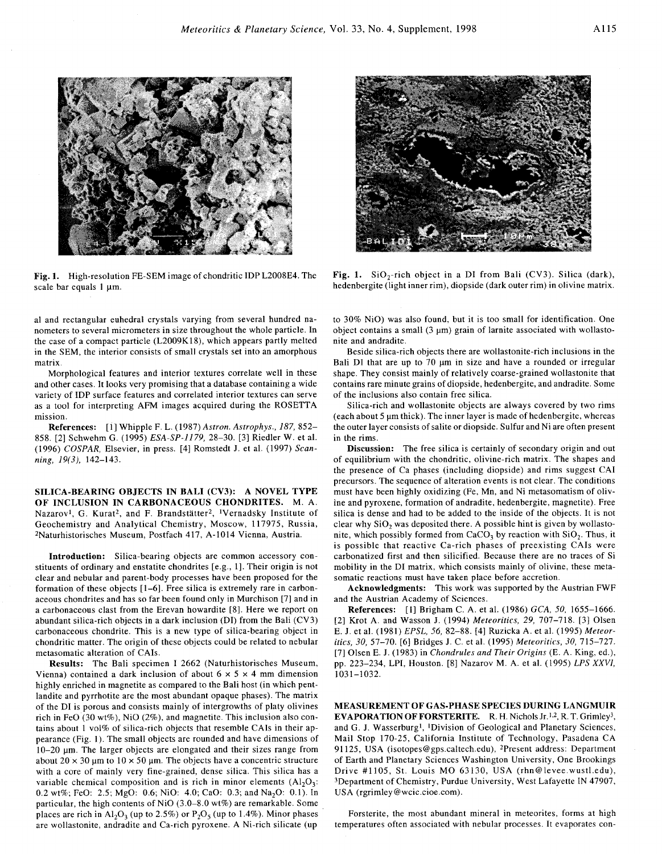

Fig. 1. High-resolution FE-SEM image of chondritic IDP L2008E4. The scale bar equals  $1 \mu m$ .

al and rectangular euhedral crystals varying from several hundred nanometers to several micrometers in size throughout the whole particle. In the case of a compact particle (L2009Kl8), which appears partly melted in the SEM, the interior consists of small crystals set into an amorphous matrix.

Morphological features and interior textures correlate well in these and other cases. It looks very promising that a database containing a wide variety of IDP surface features and correlated interior textures can serve as a tool for interpreting AFM images acquired during the ROSETTA mission.

References: [I] Whipple F. L. (1987) *Astron. Astrophys., 187,* 852- 858. [2] Schwehm G. (1995) *ESA-SP-1179,* 28-30. [3] Riedler W. eta!. (1996) *COSPAR,* Elsevier, in press. [4] Romstedt J. eta!. (1997) *Scanning, 19(3),* 142-143.

SILICA-BEARING OBJECTS IN BALI (CV3): A NOVEL TYPE OF INCLUSION IN CARBONACEOUS CHONDRITES. M. A. Nazarov<sup>1</sup>, G. Kurat<sup>2</sup>, and F. Brandstätter<sup>2</sup>, <sup>1</sup>Vernadsky Institute of Geochemistry and Analytical Chemistry, Moscow, 117975, Russia, 2Naturhistorisches Museum, Postfach 417, A-1014 Vienna, Austria.

Introduction: Silica-bearing objects are common accessory constituents of ordinary and enstatite chondrites [e.g., 1]. Their origin is not clear and nebular and parent-body processes have been proposed for the formation of these objects [1-6]. Free silica is extremely rare in carbonaceous chondrites and has so far been found only in Murchison [7] and in a carbonaceous clast from the Erevan howardite [8]. Here we report on abundant silica-rich objects in a dark inclusion (DI) from the Bali (CV3) carbonaceous chondrite. This is a new type of silica-bearing object in chondritic matter. The origin of these objects could be related to nebular metasomatic alteration of CAis.

Results: The Bali specimen I 2662 (Naturhistorisches Museum, Vienna) contained a dark inclusion of about  $6 \times 5 \times 4$  mm dimension highly enriched in magnetite as compared to the Bali host (in which pentlandite and pyrrhotite are the most abundant opaque phases). The matrix of the DI is porous and consists mainly of intergrowths of platy olivines rich in FeO (30 wt%), NiO (2%), and magnetite. This inclusion also contains about I vol% of silica-rich objects that resemble CAis in their appearance (Fig. I). The small objects are rounded and have dimensions of  $10-20$   $\mu$ m. The larger objects are elongated and their sizes range from about  $20 \times 30$  µm to  $10 \times 50$  µm. The objects have a concentric structure with a core of mainly very fine-grained, dense silica. This silica has a variable chemical composition and is rich in minor elements  $(Al<sub>2</sub>O<sub>3</sub>)$ : 0.2 wt%; FeO: 2.5; MgO: 0.6; NiO: 4.0; CaO: 0.3; and Na<sub>2</sub>O: 0.1). In particular, the high contents of NiO (3.0-8.0 wt%) are remarkable. Some places are rich in Al<sub>2</sub>O<sub>3</sub> (up to 2.5%) or  $P_2O_5$  (up to 1.4%). Minor phases are wollastonite, andradite and Ca-rich pyroxene. A Ni-rich silicate (up



Fig. 1.  $SiO<sub>2</sub>-rich object in a DI from Bali (CV3)$ . Silica (dark), hedenbergite (light inner rim), diopside (dark outer rim) in olivine matrix.

to 30% NiO) was also found, but it is too small for identification. One object contains a small  $(3 \mu m)$  grain of larnite associated with wollastonite and andradite.

Beside silica-rich objects there are wollastonite-rich inclusions in the Bali DI that are up to  $70 \mu m$  in size and have a rounded or irregular shape. They consist mainly of relatively coarse-grained wollastonite that contains rare minute grains of diopside, hedenbergite, and andradite. Some of the inclusions also contain free silica.

Silica-rich and wollastonite objects are always covered by two rims (each about 5 um thick). The inner layer is made of hedenbergite, whereas the outer layer consists of salite or diopside. Sulfur and Ni are often present in the rims.

Discussion: The free silica is certainly of secondary origin and out of equilibrium with the chondritic, olivine-rich matrix. The shapes and the presence of Ca phases (including diopside) and rims suggest CAl precursors. The sequence of alteration events is not clear. The conditions must have been highly oxidizing (Fe, Mn, and Ni metasomatism of olivine and pyroxene, formation of andradite, hedenbergite, magnetite). Free silica is dense and had to be added to the inside of the objects. It is not clear why  $SiO<sub>2</sub>$  was deposited there. A possible hint is given by wollastonite, which possibly formed from  $CaCO<sub>3</sub>$  by reaction with  $SiO<sub>2</sub>$ . Thus, it is possible that reactive Ca-rich phases of preexisting CAIs were carbonatized first and then silicified. Because there are no traces of Si mobility in the DI matrix, which consists mainly of olivine, these metasomatic reactions must have taken place before accretion.

Acknowledgments: This work was supported by the Austrian FWF and the Austrian Academy of Sciences.

References: [I] Brigham C. A. eta!. (1986) *GCA, 50,* 1655-1666. [2] Krot A. and Wasson J. (1994) *Meteoritics, 29,* 707-718. [3] Olsen E. J. eta!. (1981) *EPSL, 56,* 82-88. [4] Ruzicka A. eta!. (1995) *Meteoritics, 30,* 57-70. [6] Bridges J. C. eta!. (1995) *Meteoritics, 30,* 715-727. [7] Olsen E. J. (1983) in *Chondrules and Their Origins* (E. A. King, ed.), pp. 223-234, LPI, Houston. [8] Nazarov M.A. eta!. (1995) *LPS XXVI,*  1031-1032.

MEASUREMENT OF GAS-PHASE SPECIES DURING LANGMUIR EVAPORATION OF FORSTERITE. R. H. Nichols Jr.1.2, R. T. Grimley3, and G. J. Wasserburg1, 'Division of Geological and Planetary Sciences, Mail Stop 170-25, California Institute of Technology, Pasadena CA 91125, USA (isotopes@gps.caltech.edu), 2Present address: Department of Earth and Planetary Sciences Washington University, One Brookings Drive #1105, St. Louis MO 63130, USA (rhn@levee.wustl.edu), 3Department of Chemistry, Purdue University, West Lafayette IN 47907, USA (rgrimley @wcic.cioe.com).

Forsterite, the most abundant mineral in meteorites, forms at high temperatures often associated with nebular processes. It evaporates con